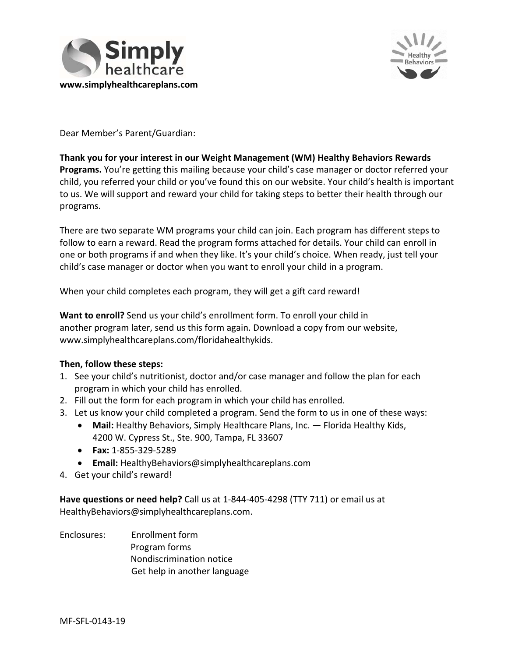



Dear Member's Parent/Guardian:

# **Thank you for your interest in our Weight Management (WM) Healthy Behaviors Rewards Programs.** You're getting this mailing because your child's case manager or doctor referred your child, you referred your child or you've found this on our website. Your child's health is important to us. We will support and reward your child for taking steps to better their health through our programs.

There are two separate WM programs your child can join. Each program has different steps to follow to earn a reward. Read the program forms attached for details. Your child can enroll in one or both programs if and when they like. It's your child's choice. When ready, just tell your child's case manager or doctor when you want to enroll your child in a program.

When your child completes each program, they will get a gift card reward!

**Want to enroll?** Send us your child's enrollment form. To enroll your child in another program later, send us this form again. Download a copy from our website, [www.simplyhealthcareplans.com/floridahealthykids](http://www.simplyhealthcareplans.com/floridahealthykids).

### **Then, follow these steps:**

- 1. See your child's nutritionist, doctor and/or case manager and follow the plan for each program in which your child has enrolled.
- 2. Fill out the form for each program in which your child has enrolled.
- 3. Let us know your child completed a program. Send the form to us in one of these ways:
	- **Mail:** Healthy Behaviors, Simply Healthcare Plans, Inc. Florida Healthy Kids, 4200 W. Cypress St., Ste. 900, Tampa, FL 33607
	- **Fax:** 1‐855‐329‐5289
	- **Email:** [HealthyBehaviors@simplyhealthcareplans.com](mailto:HealthyBehaviors@simplyhealthcareplans.com)
- 4. Get your child's reward!

**Have questions or need help?** Call us at 1‐844‐405‐4298 (TTY 711) or email us at [HealthyBehaviors@simplyhealthcareplans.com.](mailto:HealthyBehaviors@simplyhealthcareplans.com)

Enclosures: Enrollment form Program forms Nondiscrimination notice Get help in another language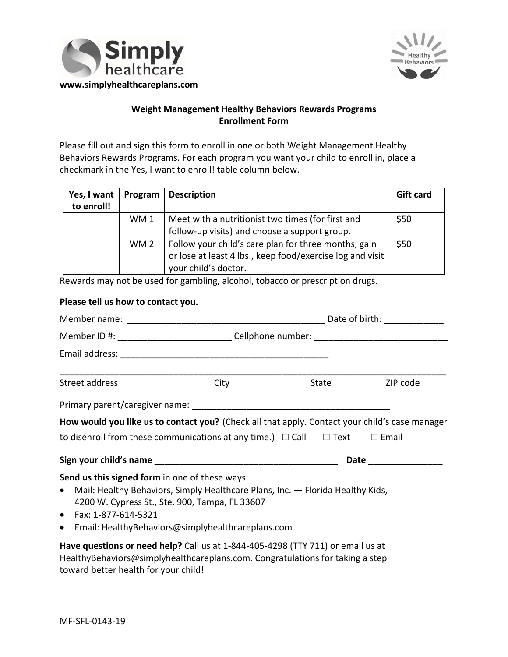



# **Weight Management Healthy Behaviors Rewards Programs Enrollment Form**

Please fill out and sign this form to enroll in one or both Weight Management Healthy Behaviors Rewards Programs. For each program you want your child to enroll in, place a checkmark in the Yes, I want to enroll! table column below.

| Yes, I want<br>to enroll! | Program         | <b>Description</b>                                                                                                                        | <b>Gift card</b> |
|---------------------------|-----------------|-------------------------------------------------------------------------------------------------------------------------------------------|------------------|
|                           | WM1             | Meet with a nutritionist two times (for first and<br>follow-up visits) and choose a support group.                                        | \$50             |
|                           | WM <sub>2</sub> | Follow your child's care plan for three months, gain<br>or lose at least 4 lbs., keep food/exercise log and visit<br>your child's doctor. | \$50             |

Rewards may not be used for gambling, alcohol, tobacco or prescription drugs.

### **Please tell us how to contact you.**

| Member ID #: ___________________________Cellphone number: ______________________                                                                                                                                             |                                                   |  |                |  |  |  |  |
|------------------------------------------------------------------------------------------------------------------------------------------------------------------------------------------------------------------------------|---------------------------------------------------|--|----------------|--|--|--|--|
|                                                                                                                                                                                                                              |                                                   |  |                |  |  |  |  |
| Street address                                                                                                                                                                                                               | City                                              |  | State ZIP code |  |  |  |  |
|                                                                                                                                                                                                                              |                                                   |  |                |  |  |  |  |
| How would you like us to contact you? (Check all that apply. Contact your child's case manager                                                                                                                               |                                                   |  |                |  |  |  |  |
| to disenroll from these communications at any time.) $\Box$ Call $\Box$ Text $\Box$ Email                                                                                                                                    |                                                   |  |                |  |  |  |  |
|                                                                                                                                                                                                                              |                                                   |  |                |  |  |  |  |
| Send us this signed form in one of these ways:<br>• Mail: Healthy Behaviors, Simply Healthcare Plans, Inc. - Florida Healthy Kids,<br>4200 W. Cypress St., Ste. 900, Tampa, FL 33607<br>• Fax: $1-877-614-5321$<br>$\bullet$ | Email: HealthyBehaviors@simplyhealthcareplans.com |  |                |  |  |  |  |
| Have questions or need help? Call us at 1-844-405-4298 (TTY 711) or email us at<br>HealthyBehaviors@simplyhealthcareplans.com. Congratulations for taking a step<br>toward better health for your child!                     |                                                   |  |                |  |  |  |  |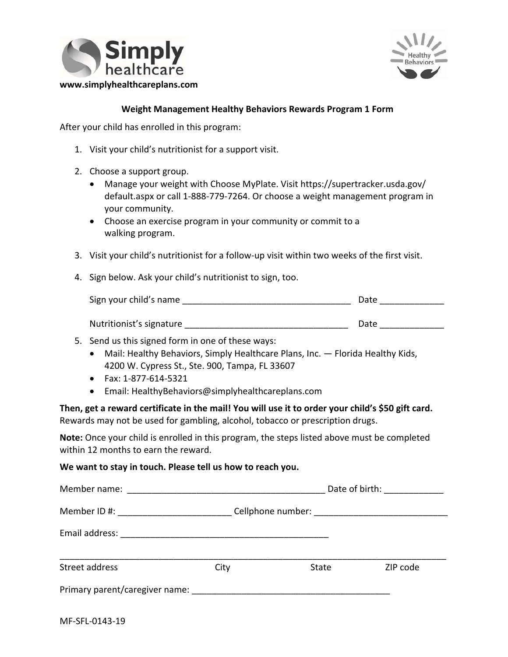



### **Weight Management Healthy Behaviors Rewards Program 1 Form**

After your child has enrolled in this program:

- 1. Visit your child's nutritionist for a support visit.
- 2. Choose a support group.
	- Manage your weight with Choose MyPlate. Visit [https://supertracker.usda.gov/](https://supertracker.usda.gov/default.aspx)  [default.aspx](https://supertracker.usda.gov/default.aspx) or call 1‐888‐779‐7264. Or choose a weight management program in your community.
	- Choose an exercise program in your community or commit to a walking program.
- 3. Visit your child's nutritionist for a follow-up visit within two weeks of the first visit.
- 4. Sign below. Ask your child's nutritionist to sign, too.

| Sign your child's name   | Date |
|--------------------------|------|
|                          |      |
| Nutritionist's signature | Date |

- 5. Send us this signed form in one of these ways:
	- Mail: Healthy Behaviors, Simply Healthcare Plans, Inc. Florida Healthy Kids, 4200 W. Cypress St., Ste. 900, Tampa, FL 33607
	- Fax: 1‐877‐614‐5321
	- Email: [HealthyBehaviors@simplyhealthcareplans.com](mailto:HealthyBehaviors@simplyhealthcareplans.com)

**Then, get a reward certificate in the mail! You will use it to order your child's \$50 gift card.**  Rewards may not be used for gambling, alcohol, tobacco or prescription drugs.

**Note:** Once your child is enrolled in this program, the steps listed above must be completed within 12 months to earn the reward.

#### **We want to stay in touch. Please tell us how to reach you.**

| Member name:                                                                                                    |      | Date of birth: _____________ |          |  |  |  |
|-----------------------------------------------------------------------------------------------------------------|------|------------------------------|----------|--|--|--|
| Member ID #: _______________________                                                                            |      |                              |          |  |  |  |
| Email address:                                                                                                  |      |                              |          |  |  |  |
| Street address                                                                                                  | City | State                        | ZIP code |  |  |  |
| Primary parent/caregiver name: example and the state of the state of the state of the state of the state of the |      |                              |          |  |  |  |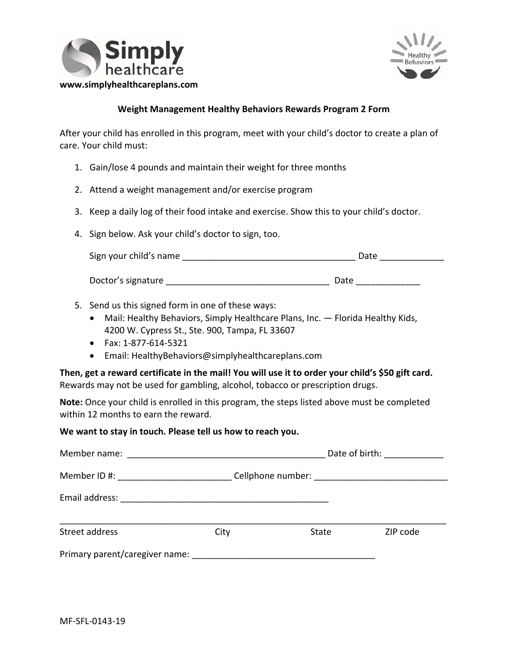



### **Weight Management Healthy Behaviors Rewards Program 2 Form**

After your child has enrolled in this program, meet with your child's doctor to create a plan of care. Your child must:

- 1. Gain/lose 4 pounds and maintain their weight for three months
- 2. Attend a weight management and/or exercise program
- 3. Keep a daily log of their food intake and exercise. Show this to your child's doctor.
- 4. Sign below. Ask your child's doctor to sign, too.

| Sign your child's name | Date |
|------------------------|------|
|                        |      |

Doctor's signature \_\_\_\_\_\_\_\_\_\_\_\_\_\_\_\_\_\_\_\_\_\_\_\_\_\_\_\_\_\_\_\_\_ Date \_\_\_\_\_\_\_\_\_\_\_\_\_

- 5. Send us this signed form in one of these ways:
	- Mail: Healthy Behaviors, Simply Healthcare Plans, Inc. Florida Healthy Kids, 4200 W. Cypress St., Ste. 900, Tampa, FL 33607
	- Fax: 1‐877‐614‐5321
	- Email: [HealthyBehaviors@simplyhealthcareplans.com](mailto:HealthyBehaviors@simplyhealthcareplans.com)

**Then, get a reward certificate in the mail! You will use it to order your child's \$50 gift card.**  Rewards may not be used for gambling, alcohol, tobacco or prescription drugs.

**Note:** Once your child is enrolled in this program, the steps listed above must be completed within 12 months to earn the reward.

**We want to stay in touch. Please tell us how to reach you.** 

|                |                                     |              | Date of birth: ______________ |          |
|----------------|-------------------------------------|--------------|-------------------------------|----------|
|                | Member ID #: ______________________ |              |                               |          |
|                |                                     |              |                               |          |
| Street address | City                                | <b>State</b> |                               | ZIP code |
|                | Primary parent/caregiver name:      |              |                               |          |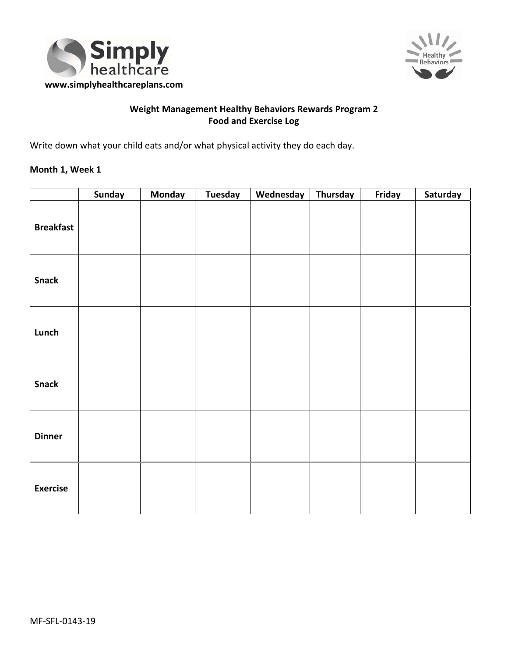



## **Weight Management Healthy Behaviors Rewards Program 2 Food and Exercise Log**

Write down what your child eats and/or what physical activity they do each day.

### **Month 1, Week 1**

|                  | Sunday | <b>Monday</b> | <b>Tuesday</b> | Wednesday | Thursday | Friday | Saturday |
|------------------|--------|---------------|----------------|-----------|----------|--------|----------|
| <b>Breakfast</b> |        |               |                |           |          |        |          |
| <b>Snack</b>     |        |               |                |           |          |        |          |
| Lunch            |        |               |                |           |          |        |          |
| <b>Snack</b>     |        |               |                |           |          |        |          |
| <b>Dinner</b>    |        |               |                |           |          |        |          |
| <b>Exercise</b>  |        |               |                |           |          |        |          |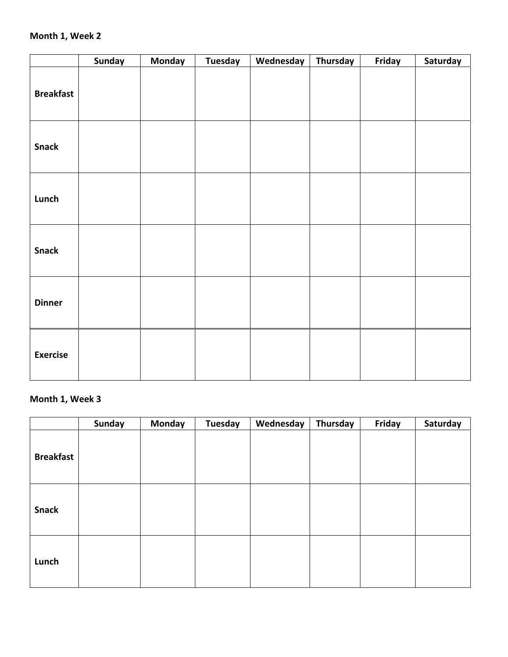### **Month 1, Week 2**

|                  | <b>Sunday</b> | <b>Monday</b> | <b>Tuesday</b> | Wednesday | <b>Thursday</b> | Friday | Saturday |
|------------------|---------------|---------------|----------------|-----------|-----------------|--------|----------|
| <b>Breakfast</b> |               |               |                |           |                 |        |          |
| <b>Snack</b>     |               |               |                |           |                 |        |          |
| Lunch            |               |               |                |           |                 |        |          |
| <b>Snack</b>     |               |               |                |           |                 |        |          |
| <b>Dinner</b>    |               |               |                |           |                 |        |          |
| <b>Exercise</b>  |               |               |                |           |                 |        |          |

# **Month 1, Week 3**

|                  | <b>Sunday</b> | <b>Monday</b> | <b>Tuesday</b> | Wednesday | Thursday | Friday | Saturday |
|------------------|---------------|---------------|----------------|-----------|----------|--------|----------|
| <b>Breakfast</b> |               |               |                |           |          |        |          |
| <b>Snack</b>     |               |               |                |           |          |        |          |
| Lunch            |               |               |                |           |          |        |          |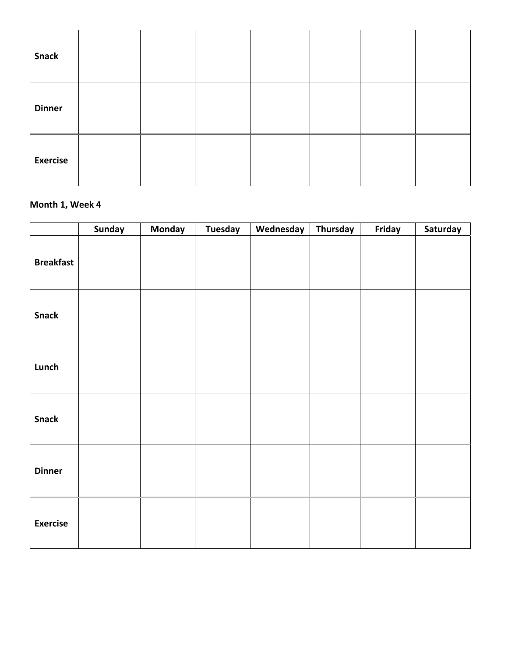| <b>Snack</b>    |  |  |  |  |
|-----------------|--|--|--|--|
| <b>Dinner</b>   |  |  |  |  |
| <b>Exercise</b> |  |  |  |  |

## **Month 1, Week 4**

|                  | <b>Sunday</b> | <b>Monday</b> | <b>Tuesday</b> | Wednesday | Thursday | Friday | Saturday |
|------------------|---------------|---------------|----------------|-----------|----------|--------|----------|
| <b>Breakfast</b> |               |               |                |           |          |        |          |
| <b>Snack</b>     |               |               |                |           |          |        |          |
| Lunch            |               |               |                |           |          |        |          |
| <b>Snack</b>     |               |               |                |           |          |        |          |
| <b>Dinner</b>    |               |               |                |           |          |        |          |
| <b>Exercise</b>  |               |               |                |           |          |        |          |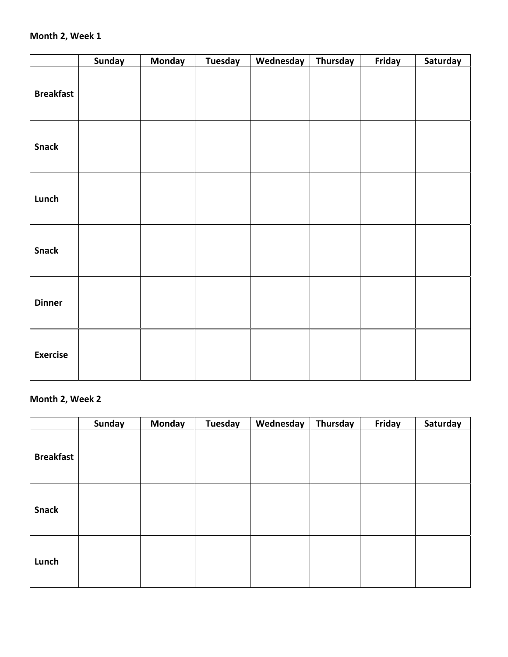### **Month 2, Week 1**

|                  | <b>Sunday</b> | <b>Monday</b> | <b>Tuesday</b> | Wednesday | <b>Thursday</b> | Friday | Saturday |
|------------------|---------------|---------------|----------------|-----------|-----------------|--------|----------|
| <b>Breakfast</b> |               |               |                |           |                 |        |          |
| <b>Snack</b>     |               |               |                |           |                 |        |          |
| Lunch            |               |               |                |           |                 |        |          |
| <b>Snack</b>     |               |               |                |           |                 |        |          |
| <b>Dinner</b>    |               |               |                |           |                 |        |          |
| <b>Exercise</b>  |               |               |                |           |                 |        |          |

# **Month 2, Week 2**

|                  | <b>Sunday</b> | <b>Monday</b> | <b>Tuesday</b> | Wednesday | Thursday | Friday | Saturday |
|------------------|---------------|---------------|----------------|-----------|----------|--------|----------|
| <b>Breakfast</b> |               |               |                |           |          |        |          |
| <b>Snack</b>     |               |               |                |           |          |        |          |
| Lunch            |               |               |                |           |          |        |          |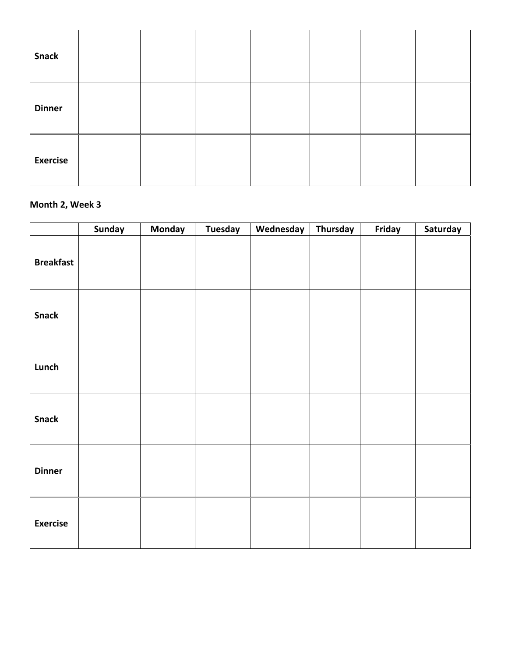| <b>Snack</b>    |  |  |  |  |
|-----------------|--|--|--|--|
| <b>Dinner</b>   |  |  |  |  |
| <b>Exercise</b> |  |  |  |  |

# **Month 2, Week 3**

|                  | <b>Sunday</b> | <b>Monday</b> | <b>Tuesday</b> | Wednesday | Thursday | Friday | Saturday |
|------------------|---------------|---------------|----------------|-----------|----------|--------|----------|
| <b>Breakfast</b> |               |               |                |           |          |        |          |
| <b>Snack</b>     |               |               |                |           |          |        |          |
| Lunch            |               |               |                |           |          |        |          |
| <b>Snack</b>     |               |               |                |           |          |        |          |
| <b>Dinner</b>    |               |               |                |           |          |        |          |
| <b>Exercise</b>  |               |               |                |           |          |        |          |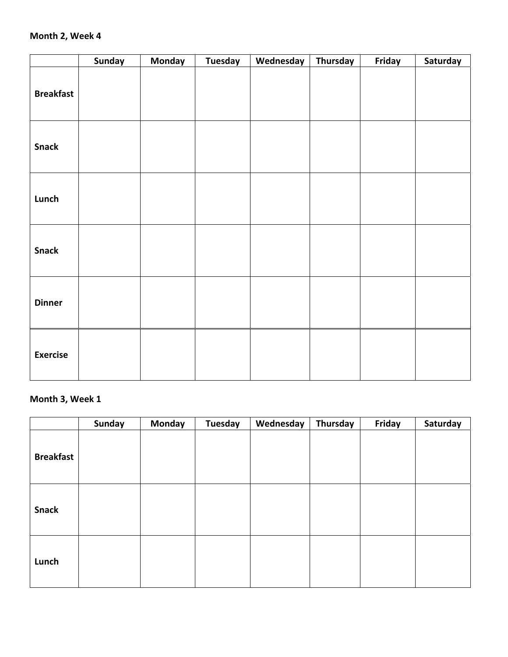### **Month 2, Week 4**

|                  | <b>Sunday</b> | <b>Monday</b> | <b>Tuesday</b> | Wednesday | <b>Thursday</b> | Friday | Saturday |
|------------------|---------------|---------------|----------------|-----------|-----------------|--------|----------|
| <b>Breakfast</b> |               |               |                |           |                 |        |          |
| <b>Snack</b>     |               |               |                |           |                 |        |          |
| Lunch            |               |               |                |           |                 |        |          |
| <b>Snack</b>     |               |               |                |           |                 |        |          |
| <b>Dinner</b>    |               |               |                |           |                 |        |          |
| <b>Exercise</b>  |               |               |                |           |                 |        |          |

# **Month 3, Week 1**

|                  | <b>Sunday</b> | <b>Monday</b> | <b>Tuesday</b> | Wednesday | Thursday | Friday | Saturday |
|------------------|---------------|---------------|----------------|-----------|----------|--------|----------|
| <b>Breakfast</b> |               |               |                |           |          |        |          |
| <b>Snack</b>     |               |               |                |           |          |        |          |
| Lunch            |               |               |                |           |          |        |          |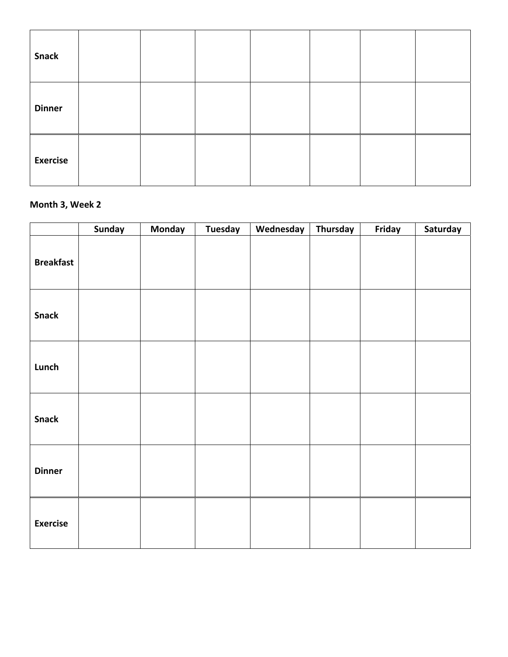| <b>Snack</b>    |  |  |  |  |
|-----------------|--|--|--|--|
| <b>Dinner</b>   |  |  |  |  |
| <b>Exercise</b> |  |  |  |  |

# **Month 3, Week 2**

|                  | <b>Sunday</b> | <b>Monday</b> | <b>Tuesday</b> | Wednesday | Thursday | Friday | Saturday |
|------------------|---------------|---------------|----------------|-----------|----------|--------|----------|
| <b>Breakfast</b> |               |               |                |           |          |        |          |
| <b>Snack</b>     |               |               |                |           |          |        |          |
| Lunch            |               |               |                |           |          |        |          |
| <b>Snack</b>     |               |               |                |           |          |        |          |
| <b>Dinner</b>    |               |               |                |           |          |        |          |
| <b>Exercise</b>  |               |               |                |           |          |        |          |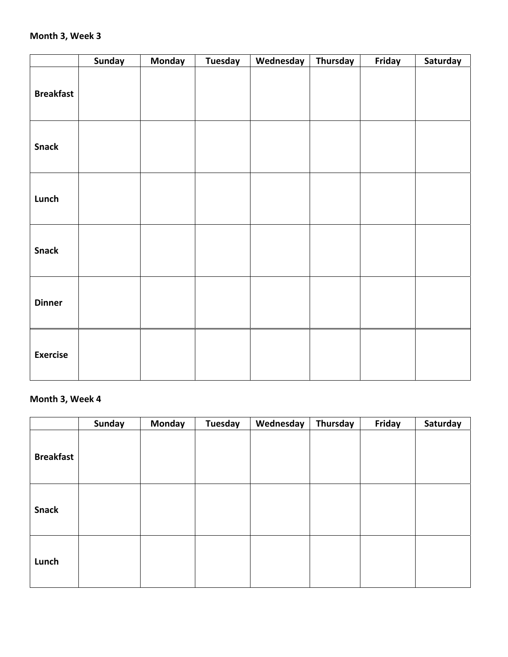### **Month 3, Week 3**

|                  | <b>Sunday</b> | <b>Monday</b> | <b>Tuesday</b> | Wednesday | <b>Thursday</b> | Friday | Saturday |
|------------------|---------------|---------------|----------------|-----------|-----------------|--------|----------|
| <b>Breakfast</b> |               |               |                |           |                 |        |          |
| <b>Snack</b>     |               |               |                |           |                 |        |          |
| Lunch            |               |               |                |           |                 |        |          |
| <b>Snack</b>     |               |               |                |           |                 |        |          |
| <b>Dinner</b>    |               |               |                |           |                 |        |          |
| <b>Exercise</b>  |               |               |                |           |                 |        |          |

# **Month 3, Week 4**

|                  | <b>Sunday</b> | <b>Monday</b> | <b>Tuesday</b> | Wednesday | Thursday | Friday | Saturday |
|------------------|---------------|---------------|----------------|-----------|----------|--------|----------|
| <b>Breakfast</b> |               |               |                |           |          |        |          |
| <b>Snack</b>     |               |               |                |           |          |        |          |
| Lunch            |               |               |                |           |          |        |          |